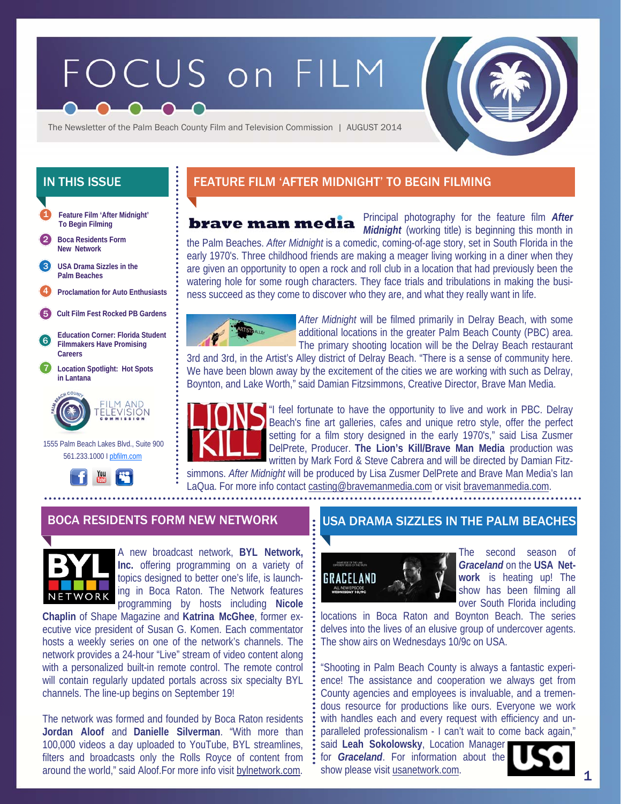# FOCUS on FILM



The Newsletter of the Palm Beach County Film and Television Commission | AUGUST 2014



**New Network** 

**USA Drama Sizzles in the Palm Beaches**  3

4 **Proclamation for Auto Enthusiasts** 

5 **Cult Film Fest Rocked PB Gardens** 

- 6 **Education Corner: Florida Student Filmmakers Have Promising Careers**
- 7 **Location Spotlight: Hot Spots in Lantana**



 1555 Palm Beach Lakes Blvd., Suite 900 561.233.1000 I pbfilm.com



## IN THIS ISSUE **FEATURE FILM 'AFTER MIDNIGHT' TO BEGIN FILMING**

brave man media

Principal photography for the feature film *After Midnight* (working title) is beginning this month in

the Palm Beaches. *After Midnight* is a comedic, coming-of-age story, set in South Florida in the early 1970's. Three childhood friends are making a meager living working in a diner when they are given an opportunity to open a rock and roll club in a location that had previously been the watering hole for some rough characters. They face trials and tribulations in making the business succeed as they come to discover who they are, and what they really want in life.



*After Midnight* will be filmed primarily in Delray Beach, with some additional locations in the greater Palm Beach County (PBC) area. The primary shooting location will be the Delray Beach restaurant

3rd and 3rd, in the Artist's Alley district of Delray Beach. "There is a sense of community here. We have been blown away by the excitement of the cities we are working with such as Delray, Boynton, and Lake Worth," said Damian Fitzsimmons, Creative Director, Brave Man Media.



"I feel fortunate to have the opportunity to live and work in PBC. Delray Beach's fine art galleries, cafes and unique retro style, offer the perfect setting for a film story designed in the early 1970's," said Lisa Zusmer DelPrete, Producer. **The Lion's Kill/Brave Man Media** production was written by Mark Ford & Steve Cabrera and will be directed by Damian Fitz-

simmons. *After Midnight* will be produced by Lisa Zusmer DelPrete and Brave Man Media's Ian LaQua. For more info contact casting@bravemanmedia.com or visit bravemanmedia.com.

. . . . . . . . . . . . . . . . . .



A new broadcast network, **BYL Network, Inc.** offering programming on a variety of topics designed to better one's life, is launching in Boca Raton. The Network features programming by hosts including **Nicole** 

**Chaplin** of Shape Magazine and **Katrina McGhee**, former executive vice president of Susan G. Komen. Each commentator hosts a weekly series on one of the network's channels. The network provides a 24-hour "Live" stream of video content along with a personalized built-in remote control. The remote control will contain regularly updated portals across six specialty BYL channels. The line-up begins on September 19!

The network was formed and founded by Boca Raton residents **Jordan Aloof** and **Danielle Silverman**. "With more than 100,000 videos a day uploaded to YouTube, BYL streamlines, filters and broadcasts only the Rolls Royce of content from around the world," said Aloof.For more info visit bylnetwork.com.

## BOCA RESIDENTS FORM NEW NETWORK USA DRAMA SIZZLES IN THE PALM BEACHES



The second season of *Graceland* on the **USA Network** is heating up! The show has been filming all over South Florida including

locations in Boca Raton and Boynton Beach. The series delves into the lives of an elusive group of undercover agents. The show airs on Wednesdays 10/9c on USA.

"Shooting in Palm Beach County is always a fantastic experience! The assistance and cooperation we always get from County agencies and employees is invaluable, and a tremendous resource for productions like ours. Everyone we work with handles each and every request with efficiency and unparalleled professionalism - I can't wait to come back again,"

said **Leah Sokolowsky**, Location Manager for *Graceland*. For information about the show please visit usanetwork.com.



1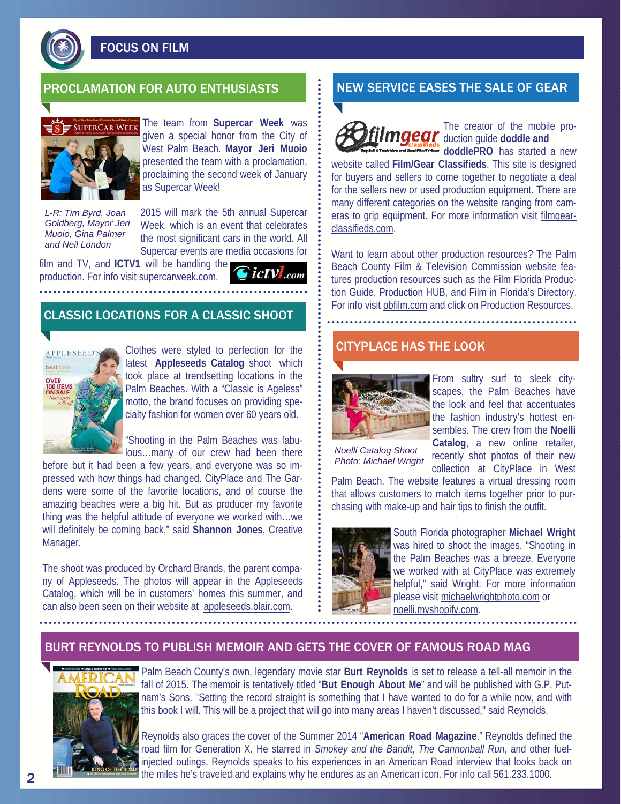

FOCUS ON FILM



The team from **Supercar Week** was given a special honor from the City of West Palm Beach. **Mayor Jeri Muoio**  presented the team with a proclamation, proclaiming the second week of January as Supercar Week!

*L-R: Tim Byrd, Joan Goldberg, Mayor Jeri Muoio, Gina Palmer and Neil London* 

2015 will mark the 5th annual Supercar Week, which is an event that celebrates the most significant cars in the world. All Supercar events are media occasions for

film and TV, and **ICTV1** will be handling the production. For info visit supercarweek.com.

**icTV**.com

#### CLASSIC LOCATIONS FOR A CLASSIC SHOOT



Clothes were styled to perfection for the latest **Appleseeds Catalog** shoot which took place at trendsetting locations in the Palm Beaches. With a "Classic is Ageless" motto, the brand focuses on providing specialty fashion for women over 60 years old.

"Shooting in the Palm Beaches was fabulous…many of our crew had been there

before but it had been a few years, and everyone was so impressed with how things had changed. CityPlace and The Gardens were some of the favorite locations, and of course the amazing beaches were a big hit. But as producer my favorite thing was the helpful attitude of everyone we worked with…we will definitely be coming back," said **Shannon Jones**, Creative Manager.

The shoot was produced by Orchard Brands, the parent company of Appleseeds. The photos will appear in the Appleseeds Catalog, which will be in customers' homes this summer, and can also been seen on their website at appleseeds.blair.com.

## PROCLAMATION FOR AUTO ENTHUSIASTS NEW SERVICE EASES THE SALE OF GEAR

The creator of the mobile pro**mgear** duction guide doddle and **doddlePRO** has started a new

website called **Film/Gear Classifieds**. This site is designed for buyers and sellers to come together to negotiate a deal for the sellers new or used production equipment. There are many different categories on the website ranging from cameras to grip equipment. For more information visit filmgearclassifieds.com.

Want to learn about other production resources? The Palm Beach County Film & Television Commission website features production resources such as the Film Florida Production Guide, Production HUB, and Film in Florida's Directory. For info visit pbfilm.com and click on Production Resources.

#### CITYPLACE HAS THE LOOK



From sultry surf to sleek cityscapes, the Palm Beaches have the look and feel that accentuates the fashion industry's hottest ensembles. The crew from the **Noelli Catalog**, a new online retailer, recently shot photos of their new

collection at CityPlace in West

*Noelli Catalog Shoot Photo: Michael Wright* 

Palm Beach. The website features a virtual dressing room that allows customers to match items together prior to purchasing with make-up and hair tips to finish the outfit.



South Florida photographer **Michael Wright**  was hired to shoot the images. "Shooting in the Palm Beaches was a breeze. Everyone we worked with at CityPlace was extremely helpful," said Wright. For more information please visit michaelwrightphoto.com or noelli.myshopify.com.

#### BURT REYNOLDS TO PUBLISH MEMOIR AND GETS THE COVER OF FAMOUS ROAD MAG



Palm Beach County's own, legendary movie star **Burt Reynolds** is set to release a tell-all memoir in the fall of 2015. The memoir is tentatively titled "**But Enough About Me**" and will be published with G.P. Putnam's Sons. "Setting the record straight is something that I have wanted to do for a while now, and with this book I will. This will be a project that will go into many areas I haven't discussed," said Reynolds.

Reynolds also graces the cover of the Summer 2014 "**American Road Magazine**." Reynolds defined the road film for Generation X. He starred in *Smokey and the Bandit*, *The Cannonball Run*, and other fuelinjected outings. Reynolds speaks to his experiences in an American Road interview that looks back on the miles he's traveled and explains why he endures as an American icon. For info call 561.233.1000.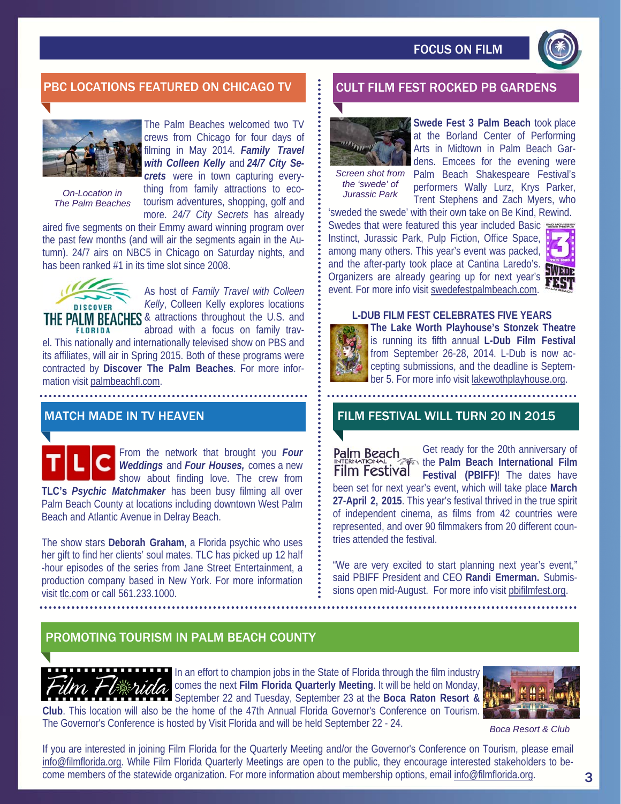

## PBC LOCATIONS FEATURED ON CHICAGO TV **FOOD SECULT FILM FEST ROCKED PB GARDENS**



*The Palm Beaches* 

The Palm Beaches welcomed two TV crews from Chicago for four days of filming in May 2014. *Family Travel with Colleen Kelly* and *24/7 City Secrets* were in town capturing everything from family attractions to eco-*On-Location in Jurassic Park*  tourism adventures, shopping, golf and more. *24/7 City Secrets* has already

aired five segments on their Emmy award winning program over the past few months (and will air the segments again in the Autumn). 24/7 airs on NBC5 in Chicago on Saturday nights, and has been ranked #1 in its time slot since 2008.



As host of *Family Travel with Colleen Kelly*, Colleen Kelly explores locations THE PALM BEACHES & attractions throughout the U.S. and

abroad with a focus on family trav-**FLORIDA** el. This nationally and internationally televised show on PBS and its affiliates, will air in Spring 2015. Both of these programs were contracted by **Discover The Palm Beaches**. For more information visit palmbeachfl.com.

#### MATCH MADE IN TV HEAVEN

From the network that brought you *Four Weddings* and *Four Houses,* comes a new show about finding love. The crew from **TLC's** *Psychic Matchmaker* has been busy filming all over Palm Beach County at locations including downtown West Palm Beach and Atlantic Avenue in Delray Beach.

The show stars **Deborah Graham**, a Florida psychic who uses her gift to find her clients' soul mates. TLC has picked up 12 half -hour episodes of the series from Jane Street Entertainment, a production company based in New York. For more information visit tlc.com or call 561.233.1000.



**Swede Fest 3 Palm Beach** took place at the Borland Center of Performing

*the 'swede' of* 

Arts in Midtown in Palm Beach Gardens. Emcees for the evening were Screen shot from Palm Beach Shakespeare Festival's performers Wally Lurz, Krys Parker, Trent Stephens and Zach Myers, who

'sweded the swede' with their own take on Be Kind, Rewind. Swedes that were featured this year included Basic Instinct, Jurassic Park, Pulp Fiction, Office Space, among many others. This year's event was packed, aniony marry choice that you have at Cantina Laredo's. Organizers are already gearing up for next year's event. For more info visit swedefestpalmbeach.com.



#### **L-DUB FILM FEST CELEBRATES FIVE YEARS**



**The Lake Worth Playhouse's Stonzek Theatre**  is running its fifth annual **L-Dub Film Festival**  from September 26-28, 2014. L-Dub is now accepting submissions, and the deadline is September 5. For more info visit lakewothplayhouse.org.

# FILM FESTIVAL WILL TURN 20 IN 2015

Get ready for the 20th anniversary of **Palm Beach** the **Palm Beach International Film**  Film Festival **Festival (PBIFF)**! The dates have been set for next year's event, which will take place **March 27-April 2, 2015**. This year's festival thrived in the true spirit of independent cinema, as films from 42 countries were represented, and over 90 filmmakers from 20 different countries attended the festival.

"We are very excited to start planning next year's event," said PBIFF President and CEO **Randi Emerman.** Submissions open mid-August. For more info visit pbifilmfest.org.

## PROMOTING TOURISM IN PALM BEACH COUNTY



In an effort to champion jobs in the State of Florida through the film industry comes the next **Film Florida Quarterly Meeting**. It will be held on Monday, September 22 and Tuesday, September 23 at the **Boca Raton Resort & Club**. This location will also be the home of the 47th Annual Florida Governor's Conference on Tourism.

The Governor's Conference is hosted by Visit Florida and will be held September 22 - 24.



*Boca Resort & Club* 

If you are interested in joining Film Florida for the Quarterly Meeting and/or the Governor's Conference on Tourism, please email info@filmflorida.org. While Film Florida Quarterly Meetings are open to the public, they encourage interested stakeholders to become members of the statewide organization. For more information about membership options, email info@filmflorida.org.